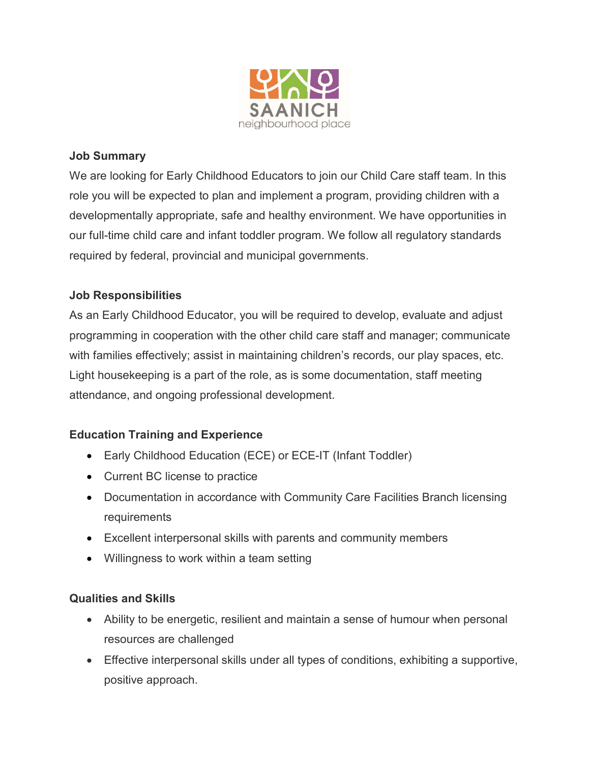

#### **Job Summary**

We are looking for Early Childhood Educators to join our Child Care staff team. In this role you will be expected to plan and implement a program, providing children with a developmentally appropriate, safe and healthy environment. We have opportunities in our full-time child care and infant toddler program. We follow all regulatory standards required by federal, provincial and municipal governments.

## **Job Responsibilities**

As an Early Childhood Educator, you will be required to develop, evaluate and adjust programming in cooperation with the other child care staff and manager; communicate with families effectively; assist in maintaining children's records, our play spaces, etc. Light housekeeping is a part of the role, as is some documentation, staff meeting attendance, and ongoing professional development.

## **Education Training and Experience**

- Early Childhood Education (ECE) or ECE-IT (Infant Toddler)
- Current BC license to practice
- Documentation in accordance with Community Care Facilities Branch licensing requirements
- Excellent interpersonal skills with parents and community members
- Willingness to work within a team setting

#### **Qualities and Skills**

- Ability to be energetic, resilient and maintain a sense of humour when personal resources are challenged
- Effective interpersonal skills under all types of conditions, exhibiting a supportive, positive approach.